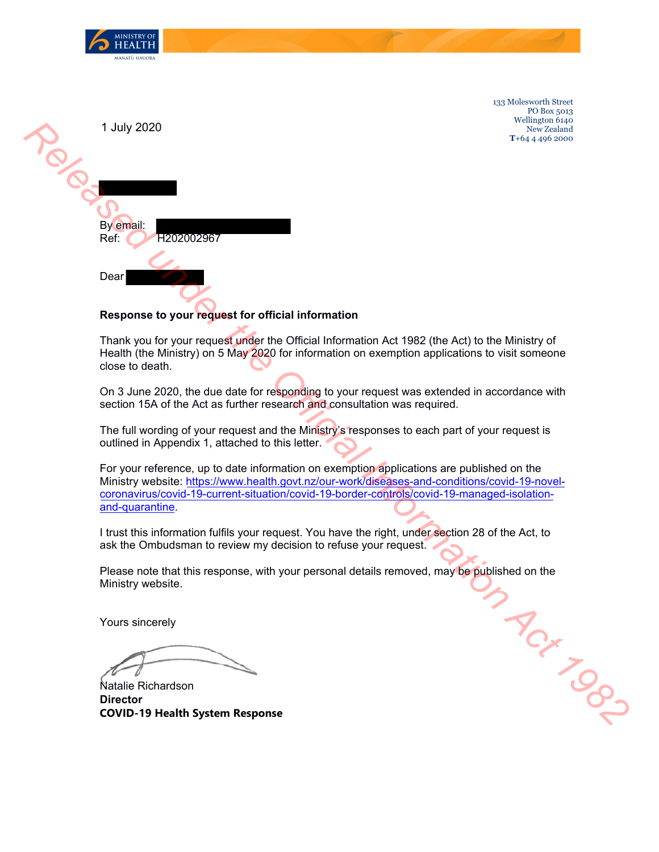

133 Molesworth Street PO Box 5013 Wellington 6140 New Zealand **T**+64 4 496 2000

| 1 July 2020        |
|--------------------|
|                    |
|                    |
| By email:          |
| Ref:<br>H202002967 |
| Dear               |

## **Response to your request for official information**

Thank you for your request under the Official Information Act 1982 (the Act) to the Ministry of Health (the Ministry) on 5 May 2020 for information on exemption applications to visit someone close to death.

On 3 June 2020, the due date for responding to your request was extended in accordance with section 15A of the Act as further research and consultation was required.

The full wording of your request and the Ministry's responses to each part of your request is outlined in Appendix 1, attached to this letter.

For your reference, up to date information on exemption applications are published on the Ministry website: https://www.health.govt.nz/our-work/diseases-and-conditions/covid-19-novelcoronavirus/covid-19-current-situation/covid-19-border-controls/covid-19-managed-isolationand-quarantine. **under the Official Information**<br> **u** for your request under the Official Information Act 1982 (the Act) to the Ministry of<br> **u** for your request under the Official Information on exemption applications to visit someone<br>
e

I trust this information fulfils your request. You have the right, under section 28 of the Act, to ask the Ombudsman to review my decision to refuse your request.

Please note that this response, with your personal details removed, may be published on the Ministry website.

Yours sincerely

Natalie Richardson **Director COVID-19 Health System Response**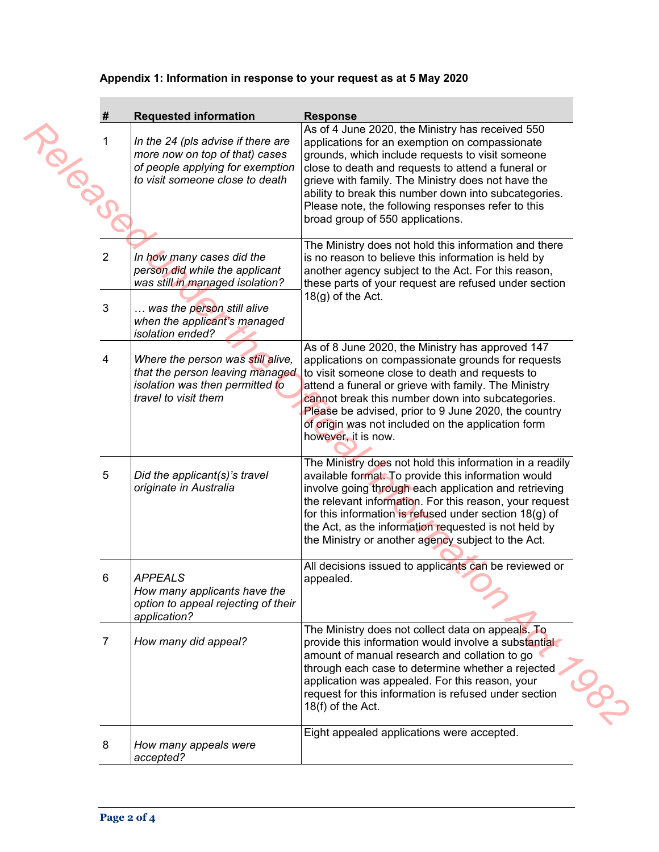## **Appendix 1: Information in response to your request as at 5 May 2020**

| #                       | <b>Requested information</b>                                                                                                                                                     | <b>Response</b>                                                                                                                                                                                                                                                                                                                                                                                                       |
|-------------------------|----------------------------------------------------------------------------------------------------------------------------------------------------------------------------------|-----------------------------------------------------------------------------------------------------------------------------------------------------------------------------------------------------------------------------------------------------------------------------------------------------------------------------------------------------------------------------------------------------------------------|
| IBSOS                   | In the 24 (pls advise if there are<br>more now on top of that) cases<br>of people applying for exemption<br>to visit someone close to death                                      | As of 4 June 2020, the Ministry has received 550<br>applications for an exemption on compassionate<br>grounds, which include requests to visit someone<br>close to death and requests to attend a funeral or<br>grieve with family. The Ministry does not have the<br>ability to break this number down into subcategories.<br>Please note, the following responses refer to this<br>broad group of 550 applications. |
| $\overline{2}$<br>3     | In how many cases did the<br>person did while the applicant<br>was still in managed isolation?<br>was the person still alive<br>when the applicant's managed<br>isolation ended? | The Ministry does not hold this information and there<br>is no reason to believe this information is held by<br>another agency subject to the Act. For this reason,<br>these parts of your request are refused under section<br>$18(g)$ of the Act.                                                                                                                                                                   |
| $\overline{\mathbf{4}}$ | Where the person was still alive,<br>that the person leaving managed<br>isolation was then permitted to<br>travel to visit them                                                  | As of 8 June 2020, the Ministry has approved 147<br>applications on compassionate grounds for requests<br>to visit someone close to death and requests to<br>attend a funeral or grieve with family. The Ministry<br>cannot break this number down into subcategories.<br>Please be advised, prior to 9 June 2020, the country<br>of origin was not included on the application form<br>however, it is now.           |
| 5                       | Did the applicant(s)'s travel<br>originate in Australia                                                                                                                          | The Ministry does not hold this information in a readily<br>available format. To provide this information would<br>involve going through each application and retrieving<br>the relevant information. For this reason, your request<br>for this information is refused under section $18(g)$ of<br>the Act, as the information requested is not held by<br>the Ministry or another agency subject to the Act.         |
| 6                       | <b>APPEALS</b><br>How many applicants have the<br>option to appeal rejecting of their<br>application?                                                                            | All decisions issued to applicants can be reviewed or<br>appealed.                                                                                                                                                                                                                                                                                                                                                    |
| $\overline{7}$          | How many did appeal?                                                                                                                                                             | The Ministry does not collect data on appeals. To<br>provide this information would involve a substantial<br>amount of manual research and collation to go<br>through each case to determine whether a rejected<br>application was appealed. For this reason, your<br>request for this information is refused under section<br>18(f) of the Act.                                                                      |
| 8                       | How many appeals were<br>accepted?                                                                                                                                               | Eight appealed applications were accepted.                                                                                                                                                                                                                                                                                                                                                                            |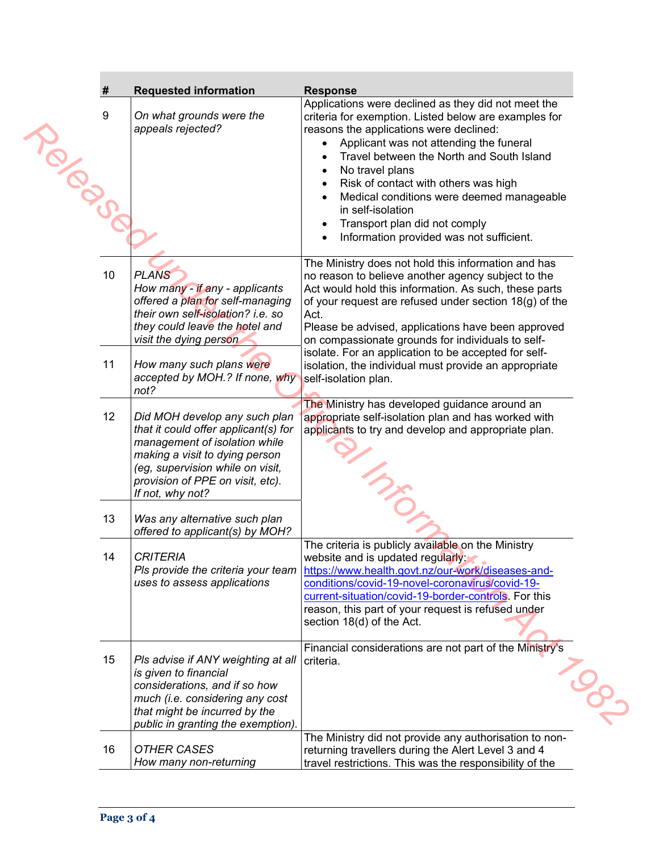| #            | <b>Requested information</b>                                                                                                                                                                                                         | <b>Response</b>                                                                                                                                                                                                                                                                                                                                                                                                                                           |
|--------------|--------------------------------------------------------------------------------------------------------------------------------------------------------------------------------------------------------------------------------------|-----------------------------------------------------------------------------------------------------------------------------------------------------------------------------------------------------------------------------------------------------------------------------------------------------------------------------------------------------------------------------------------------------------------------------------------------------------|
| 9<br>IPIDSOS | On what grounds were the<br>appeals rejected?                                                                                                                                                                                        | Applications were declined as they did not meet the<br>criteria for exemption. Listed below are examples for<br>reasons the applications were declined:<br>Applicant was not attending the funeral<br>Travel between the North and South Island<br>No travel plans<br>Risk of contact with others was high<br>Medical conditions were deemed manageable<br>in self-isolation<br>Transport plan did not comply<br>Information provided was not sufficient. |
| 10           | <b>PLANS</b><br>How many - if any - applicants<br>offered a plan for self-managing<br>their own self-isolation? i.e. so<br>they could leave the hotel and<br>visit the dying person                                                  | The Ministry does not hold this information and has<br>no reason to believe another agency subject to the<br>Act would hold this information. As such, these parts<br>of your request are refused under section 18(g) of the<br>Act.<br>Please be advised, applications have been approved<br>on compassionate grounds for individuals to self-                                                                                                           |
| 11           | How many such plans were<br>accepted by MOH.? If none, why<br>not?                                                                                                                                                                   | isolate. For an application to be accepted for self-<br>isolation, the individual must provide an appropriate<br>self-isolation plan.                                                                                                                                                                                                                                                                                                                     |
| 12           | Did MOH develop any such plan<br>that it could offer applicant(s) for<br>management of isolation while<br>making a visit to dying person<br>(eg, supervision while on visit,<br>provision of PPE on visit, etc).<br>If not, why not? | The Ministry has developed guidance around an<br>appropriate self-isolation plan and has worked with<br>applicants to try and develop and appropriate plan.                                                                                                                                                                                                                                                                                               |
| 13           | Was any alternative such plan<br>offered to applicant(s) by MOH?                                                                                                                                                                     |                                                                                                                                                                                                                                                                                                                                                                                                                                                           |
| 14           | <b>CRITERIA</b><br>Pls provide the criteria your team<br>uses to assess applications                                                                                                                                                 | The criteria is publicly available on the Ministry<br>website and is updated regularly:<br>https://www.health.govt.nz/our-work/diseases-and-<br>conditions/covid-19-novel-coronavirus/covid-19-<br>current-situation/covid-19-border-controls. For this<br>reason, this part of your request is refused under<br>section 18(d) of the Act.                                                                                                                |
| 15           | PIs advise if ANY weighting at all<br>is given to financial<br>considerations, and if so how<br>much (i.e. considering any cost<br>that might be incurred by the<br>public in granting the exemption).                               | Financial considerations are not part of the Ministry's<br>criteria.<br><b>SO-</b>                                                                                                                                                                                                                                                                                                                                                                        |
| 16           | <b>OTHER CASES</b><br>How many non-returning                                                                                                                                                                                         | The Ministry did not provide any authorisation to non-<br>returning travellers during the Alert Level 3 and 4<br>travel restrictions. This was the responsibility of the                                                                                                                                                                                                                                                                                  |